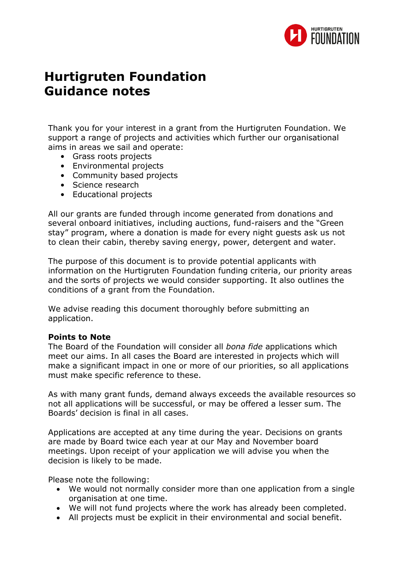

# **Hurtigruten Foundation Guidance notes**

Thank you for your interest in a grant from the Hurtigruten Foundation. We support a range of projects and activities which further our organisational aims in areas we sail and operate:

- Grass roots projects
- Environmental projects
- Community based projects
- Science research
- Educational projects

All our grants are funded through income generated from donations and several onboard initiatives, including auctions, fund-raisers and the "Green stay" program, where a donation is made for every night guests ask us not to clean their cabin, thereby saving energy, power, detergent and water.

The purpose of this document is to provide potential applicants with information on the Hurtigruten Foundation funding criteria, our priority areas and the sorts of projects we would consider supporting. It also outlines the conditions of a grant from the Foundation.

We advise reading this document thoroughly before submitting an application.

# **Points to Note**

The Board of the Foundation will consider all *bona fide* applications which meet our aims. In all cases the Board are interested in projects which will make a significant impact in one or more of our priorities, so all applications must make specific reference to these.

As with many grant funds, demand always exceeds the available resources so not all applications will be successful, or may be offered a lesser sum. The Boards' decision is final in all cases.

Applications are accepted at any time during the year. Decisions on grants are made by Board twice each year at our May and November board meetings. Upon receipt of your application we will advise you when the decision is likely to be made.

Please note the following:

- We would not normally consider more than one application from a single organisation at one time.
- We will not fund projects where the work has already been completed.
- All projects must be explicit in their environmental and social benefit.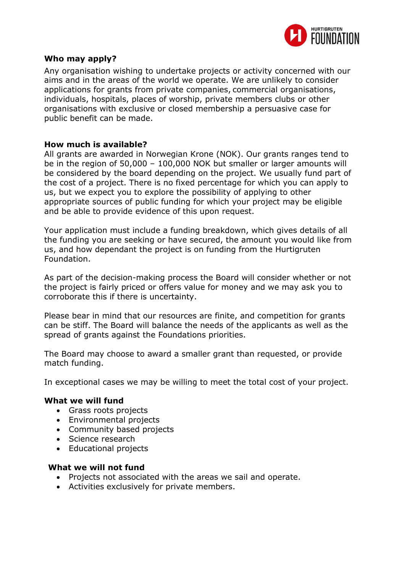

# **Who may apply?**

Any organisation wishing to undertake projects or activity concerned with our aims and in the areas of the world we operate. We are unlikely to consider applications for grants from private companies, commercial organisations, individuals, hospitals, places of worship, private members clubs or other organisations with exclusive or closed membership a persuasive case for public benefit can be made.

# **How much is available?**

All grants are awarded in Norwegian Krone (NOK). Our grants ranges tend to be in the region of 50,000 – 100,000 NOK but smaller or larger amounts will be considered by the board depending on the project. We usually fund part of the cost of a project. There is no fixed percentage for which you can apply to us, but we expect you to explore the possibility of applying to other appropriate sources of public funding for which your project may be eligible and be able to provide evidence of this upon request.

Your application must include a funding breakdown, which gives details of all the funding you are seeking or have secured, the amount you would like from us, and how dependant the project is on funding from the Hurtigruten Foundation.

As part of the decision-making process the Board will consider whether or not the project is fairly priced or offers value for money and we may ask you to corroborate this if there is uncertainty.

Please bear in mind that our resources are finite, and competition for grants can be stiff. The Board will balance the needs of the applicants as well as the spread of grants against the Foundations priorities.

The Board may choose to award a smaller grant than requested, or provide match funding.

In exceptional cases we may be willing to meet the total cost of your project.

# **What we will fund**

- Grass roots projects
- Environmental projects
- Community based projects
- Science research
- Educational projects

#### **What we will not fund**

- Projects not associated with the areas we sail and operate.
- Activities exclusively for private members.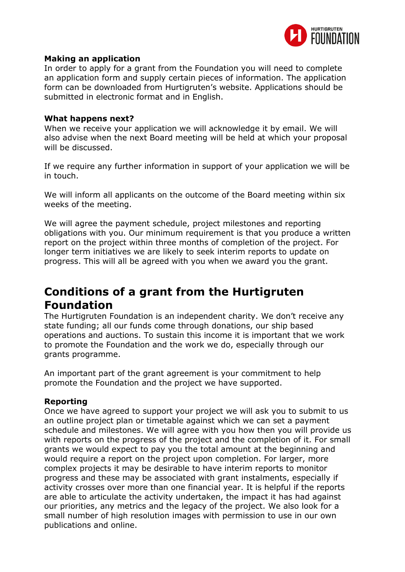

# **Making an application**

In order to apply for a grant from the Foundation you will need to complete an application form and supply certain pieces of information. The application form can be downloaded from Hurtigruten's website. Applications should be submitted in electronic format and in English.

#### **What happens next?**

When we receive your application we will acknowledge it by email. We will also advise when the next Board meeting will be held at which your proposal will be discussed.

If we require any further information in support of your application we will be in touch.

We will inform all applicants on the outcome of the Board meeting within six weeks of the meeting.

We will agree the payment schedule, project milestones and reporting obligations with you. Our minimum requirement is that you produce a written report on the project within three months of completion of the project. For longer term initiatives we are likely to seek interim reports to update on progress. This will all be agreed with you when we award you the grant.

# **Conditions of a grant from the Hurtigruten Foundation**

The Hurtigruten Foundation is an independent charity. We don't receive any state funding; all our funds come through donations, our ship based operations and auctions. To sustain this income it is important that we work to promote the Foundation and the work we do, especially through our grants programme.

An important part of the grant agreement is your commitment to help promote the Foundation and the project we have supported.

# **Reporting**

Once we have agreed to support your project we will ask you to submit to us an outline project plan or timetable against which we can set a payment schedule and milestones. We will agree with you how then you will provide us with reports on the progress of the project and the completion of it. For small grants we would expect to pay you the total amount at the beginning and would require a report on the project upon completion. For larger, more complex projects it may be desirable to have interim reports to monitor progress and these may be associated with grant instalments, especially if activity crosses over more than one financial year. It is helpful if the reports are able to articulate the activity undertaken, the impact it has had against our priorities, any metrics and the legacy of the project. We also look for a small number of high resolution images with permission to use in our own publications and online.